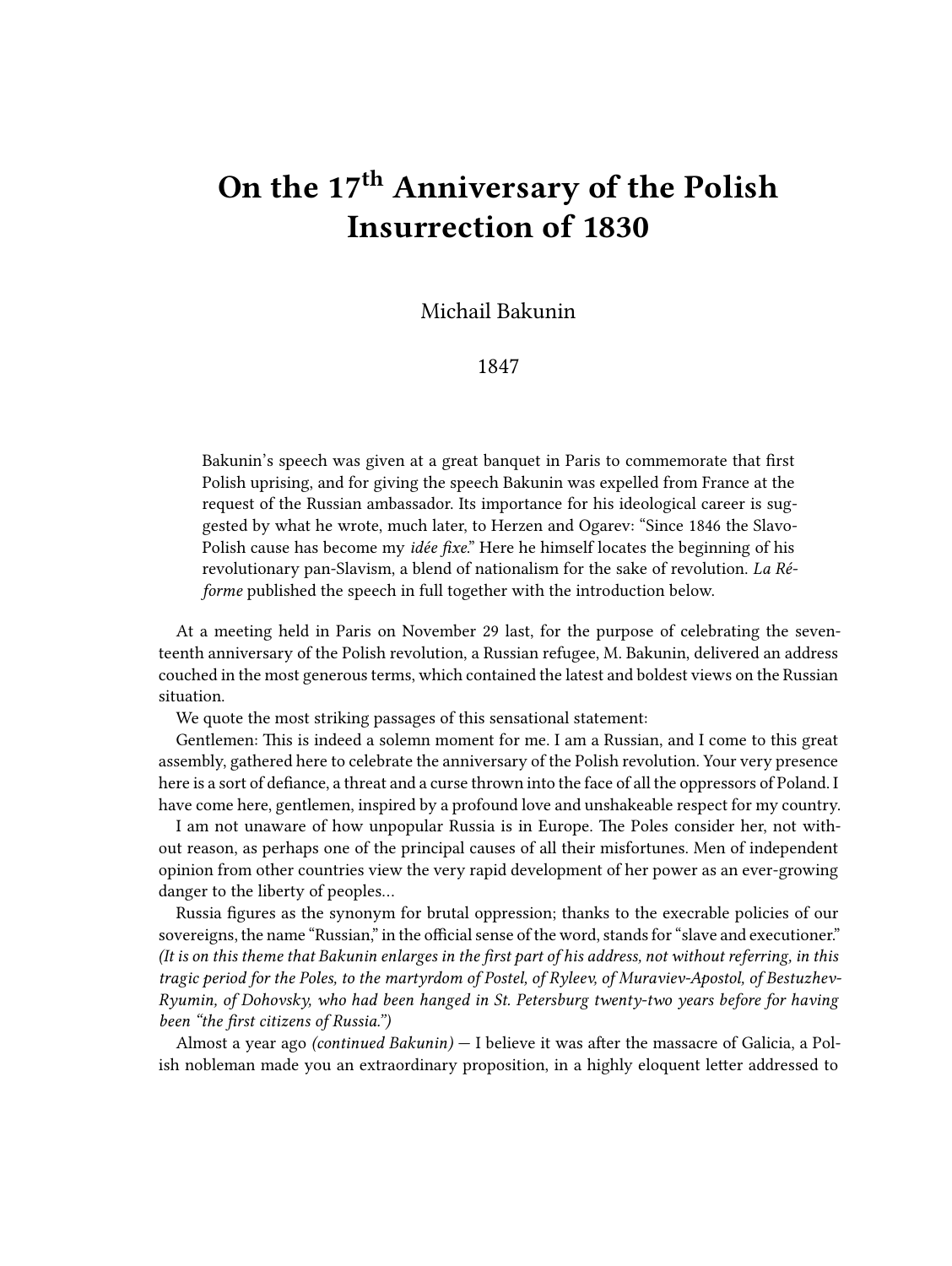## **On the 17th Anniversary of the Polish Insurrection of 1830**

## Michail Bakunin

## 1847

Bakunin's speech was given at a great banquet in Paris to commemorate that first Polish uprising, and for giving the speech Bakunin was expelled from France at the request of the Russian ambassador. Its importance for his ideological career is suggested by what he wrote, much later, to Herzen and Ogarev: "Since 1846 the Slavo-Polish cause has become my *idée fixe*." Here he himself locates the beginning of his revolutionary pan-Slavism, a blend of nationalism for the sake of revolution. *La Réforme* published the speech in full together with the introduction below.

At a meeting held in Paris on November 29 last, for the purpose of celebrating the seventeenth anniversary of the Polish revolution, a Russian refugee, M. Bakunin, delivered an address couched in the most generous terms, which contained the latest and boldest views on the Russian situation.

We quote the most striking passages of this sensational statement:

Gentlemen: This is indeed a solemn moment for me. I am a Russian, and I come to this great assembly, gathered here to celebrate the anniversary of the Polish revolution. Your very presence here is a sort of defiance, a threat and a curse thrown into the face of all the oppressors of Poland. I have come here, gentlemen, inspired by a profound love and unshakeable respect for my country.

I am not unaware of how unpopular Russia is in Europe. The Poles consider her, not without reason, as perhaps one of the principal causes of all their misfortunes. Men of independent opinion from other countries view the very rapid development of her power as an ever-growing danger to the liberty of peoples…

Russia figures as the synonym for brutal oppression; thanks to the execrable policies of our sovereigns, the name "Russian," in the official sense of the word, stands for "slave and executioner." *(It is on this theme that Bakunin enlarges in the first part of his address, not without referring, in this tragic period for the Poles, to the martyrdom of Postel, of Ryleev, of Muraviev-Apostol, of Bestuzhev-Ryumin, of Dohovsky, who had been hanged in St. Petersburg twenty-two years before for having been "the first citizens of Russia.")*

Almost a year ago *(continued Bakunin)* — I believe it was after the massacre of Galicia, a Polish nobleman made you an extraordinary proposition, in a highly eloquent letter addressed to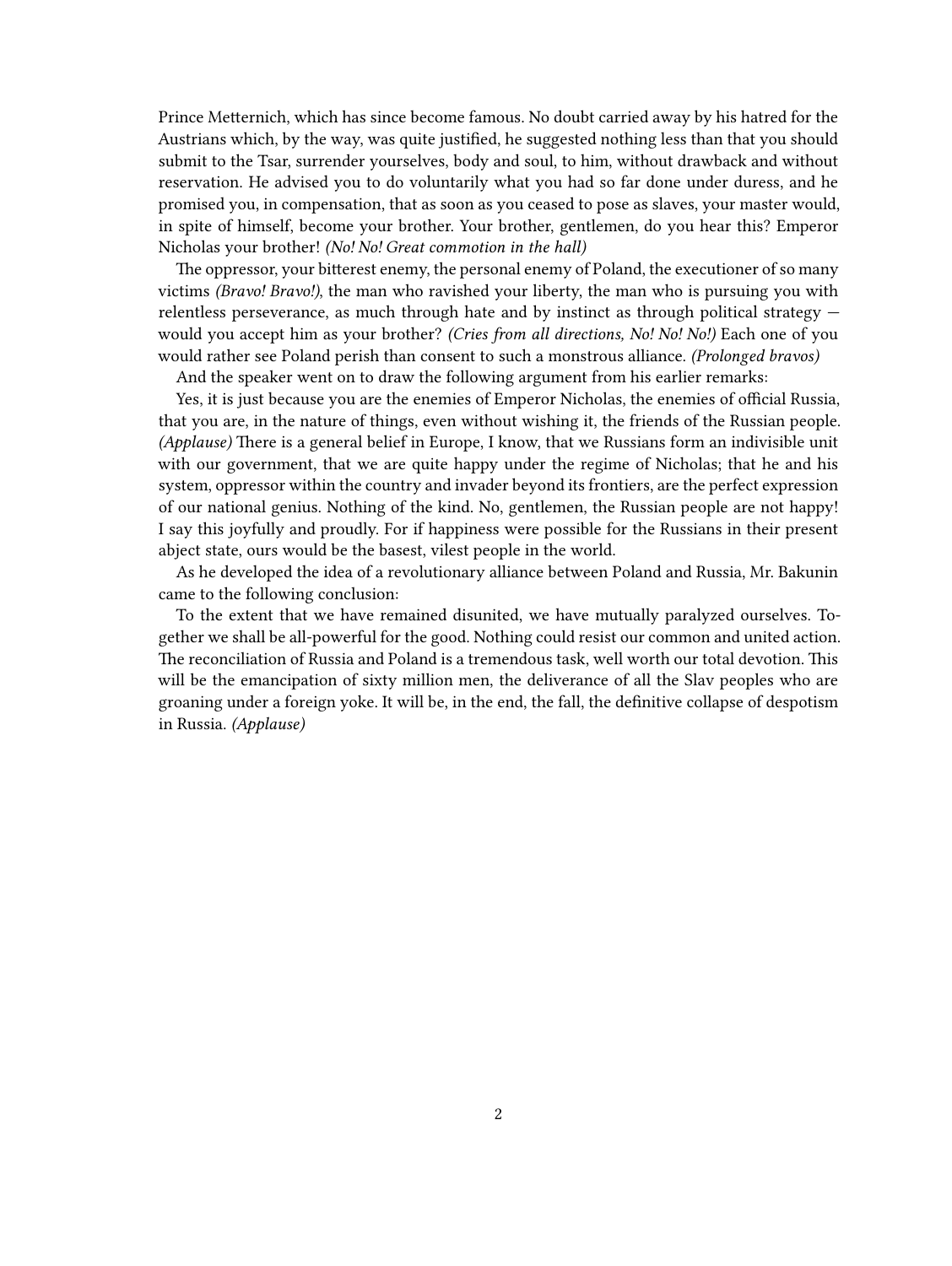Prince Metternich, which has since become famous. No doubt carried away by his hatred for the Austrians which, by the way, was quite justified, he suggested nothing less than that you should submit to the Tsar, surrender yourselves, body and soul, to him, without drawback and without reservation. He advised you to do voluntarily what you had so far done under duress, and he promised you, in compensation, that as soon as you ceased to pose as slaves, your master would, in spite of himself, become your brother. Your brother, gentlemen, do you hear this? Emperor Nicholas your brother! *(No! No! Great commotion in the hall)*

The oppressor, your bitterest enemy, the personal enemy of Poland, the executioner of so many victims *(Bravo! Bravo!)*, the man who ravished your liberty, the man who is pursuing you with relentless perseverance, as much through hate and by instinct as through political strategy would you accept him as your brother? *(Cries from all directions, No! No! No!)* Each one of you would rather see Poland perish than consent to such a monstrous alliance. *(Prolonged bravos)*

And the speaker went on to draw the following argument from his earlier remarks:

Yes, it is just because you are the enemies of Emperor Nicholas, the enemies of official Russia, that you are, in the nature of things, even without wishing it, the friends of the Russian people. *(Applause)* There is a general belief in Europe, I know, that we Russians form an indivisible unit with our government, that we are quite happy under the regime of Nicholas; that he and his system, oppressor within the country and invader beyond its frontiers, are the perfect expression of our national genius. Nothing of the kind. No, gentlemen, the Russian people are not happy! I say this joyfully and proudly. For if happiness were possible for the Russians in their present abject state, ours would be the basest, vilest people in the world.

As he developed the idea of a revolutionary alliance between Poland and Russia, Mr. Bakunin came to the following conclusion:

To the extent that we have remained disunited, we have mutually paralyzed ourselves. Together we shall be all-powerful for the good. Nothing could resist our common and united action. The reconciliation of Russia and Poland is a tremendous task, well worth our total devotion. This will be the emancipation of sixty million men, the deliverance of all the Slav peoples who are groaning under a foreign yoke. It will be, in the end, the fall, the definitive collapse of despotism in Russia. *(Applause)*